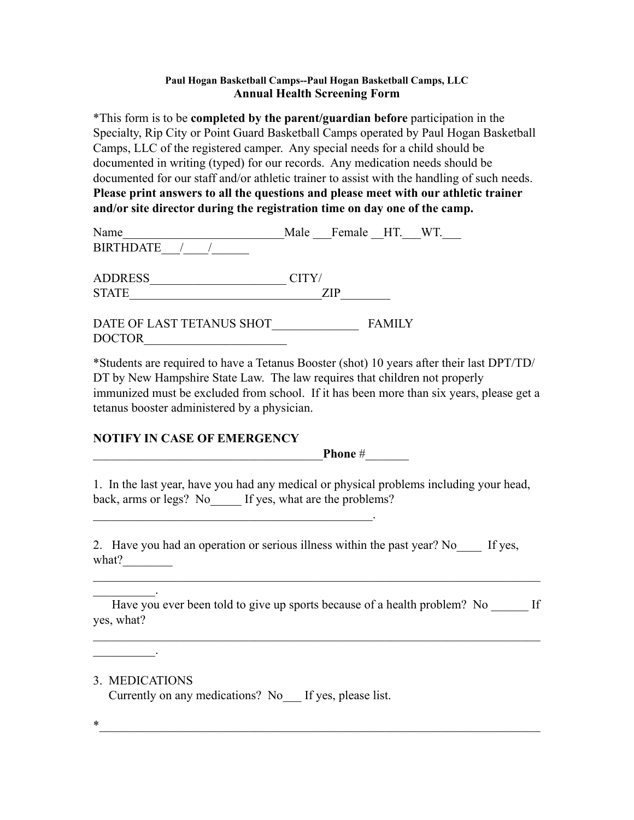## **Paul Hogan Basketball Camps--Paul Hogan Basketball Camps, LLC Annual Health Screening Form**

\*This form is to be **completed by the parent/guardian before** participation in the Specialty, Rip City or Point Guard Basketball Camps operated by Paul Hogan Basketball Camps, LLC of the registered camper. Any special needs for a child should be documented in writing (typed) for our records. Any medication needs should be documented for our staff and/or athletic trainer to assist with the handling of such needs. **Please print answers to all the questions and please meet with our athletic trainer and/or site director during the registration time on day one of the camp.** 

| Name                      | Male Female HT. WT. |
|---------------------------|---------------------|
| <b>BIRTHDATE</b>          |                     |
|                           |                     |
| <b>ADDRESS</b>            | CITY/               |
| <b>STATE</b>              | ZIP                 |
|                           |                     |
| DATE OF LAST TETANUS SHOT | <b>FAMILY</b>       |

\*Students are required to have a Tetanus Booster (shot) 10 years after their last DPT/TD/ DT by New Hampshire State Law. The law requires that children not properly immunized must be excluded from school. If it has been more than six years, please get a tetanus booster administered by a physician.

## **NOTIFY IN CASE OF EMERGENCY**

Phone #

1. In the last year, have you had any medical or physical problems including your head, back, arms or legs? No \_\_\_\_\_ If yes, what are the problems?

2. Have you had an operation or serious illness within the past year? No If yes, what?  $\qquad \qquad \qquad$ 

 $\mathcal{L}=\mathcal{L}^{\mathcal{L}}$ Have you ever been told to give up sports because of a health problem? No  $\qquad$  If yes, what?

 $\mathcal{L}_\text{max}$  , and the contribution of the contribution of the contribution of the contribution of the contribution of the contribution of the contribution of the contribution of the contribution of the contribution of t

3. MEDICATIONS

 $\mathcal{L}=\mathcal{L}^{\mathcal{L}}$ 

DOCTOR\_\_\_\_\_\_\_\_\_\_\_\_\_\_\_\_\_\_\_\_\_\_\_

Currently on any medications? No\_\_\_ If yes, please list.

 $\mathcal{L}_\text{max}$  and  $\mathcal{L}_\text{max}$  and  $\mathcal{L}_\text{max}$  and  $\mathcal{L}_\text{max}$  and  $\mathcal{L}_\text{max}$ 

 $*$   $-$